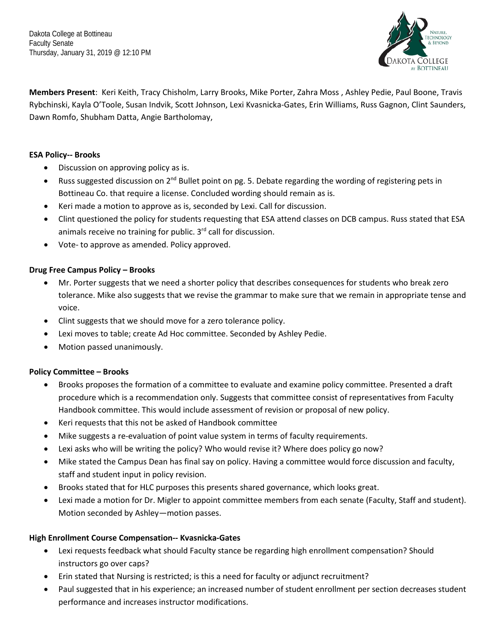Dakota College at Bottineau Faculty Senate Thursday, January 31, 2019 @ 12:10 PM



**Members Present**: Keri Keith, Tracy Chisholm, Larry Brooks, Mike Porter, Zahra Moss , Ashley Pedie, Paul Boone, Travis Rybchinski, Kayla O'Toole, Susan Indvik, Scott Johnson, Lexi Kvasnicka-Gates, Erin Williams, Russ Gagnon, Clint Saunders, Dawn Romfo, Shubham Datta, Angie Bartholomay,

# **ESA Policy-- Brooks**

- Discussion on approving policy as is.
- Russ suggested discussion on  $2^{nd}$  Bullet point on pg. 5. Debate regarding the wording of registering pets in Bottineau Co. that require a license. Concluded wording should remain as is.
- Keri made a motion to approve as is, seconded by Lexi. Call for discussion.
- Clint questioned the policy for students requesting that ESA attend classes on DCB campus. Russ stated that ESA animals receive no training for public.  $3<sup>rd</sup>$  call for discussion.
- Vote- to approve as amended. Policy approved.

# **Drug Free Campus Policy – Brooks**

- Mr. Porter suggests that we need a shorter policy that describes consequences for students who break zero tolerance. Mike also suggests that we revise the grammar to make sure that we remain in appropriate tense and voice.
- Clint suggests that we should move for a zero tolerance policy.
- Lexi moves to table; create Ad Hoc committee. Seconded by Ashley Pedie.
- Motion passed unanimously.

### **Policy Committee – Brooks**

- Brooks proposes the formation of a committee to evaluate and examine policy committee. Presented a draft procedure which is a recommendation only. Suggests that committee consist of representatives from Faculty Handbook committee. This would include assessment of revision or proposal of new policy.
- Keri requests that this not be asked of Handbook committee
- Mike suggests a re-evaluation of point value system in terms of faculty requirements.
- Lexi asks who will be writing the policy? Who would revise it? Where does policy go now?
- Mike stated the Campus Dean has final say on policy. Having a committee would force discussion and faculty, staff and student input in policy revision.
- Brooks stated that for HLC purposes this presents shared governance, which looks great.
- Lexi made a motion for Dr. Migler to appoint committee members from each senate (Faculty, Staff and student). Motion seconded by Ashley—motion passes.

### **High Enrollment Course Compensation-- Kvasnicka-Gates**

- Lexi requests feedback what should Faculty stance be regarding high enrollment compensation? Should instructors go over caps?
- Erin stated that Nursing is restricted; is this a need for faculty or adjunct recruitment?
- Paul suggested that in his experience; an increased number of student enrollment per section decreases student performance and increases instructor modifications.